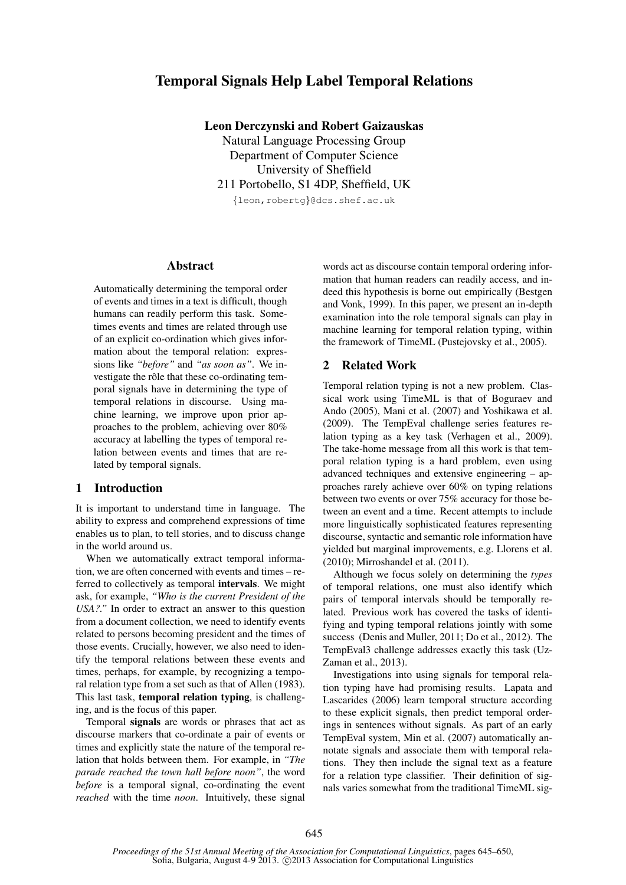# Temporal Signals Help Label Temporal Relations

Leon Derczynski and Robert Gaizauskas

Natural Language Processing Group Department of Computer Science University of Sheffield 211 Portobello, S1 4DP, Sheffield, UK

{leon,robertg}@dcs.shef.ac.uk

## Abstract

Automatically determining the temporal order of events and times in a text is difficult, though humans can readily perform this task. Sometimes events and times are related through use of an explicit co-ordination which gives information about the temporal relation: expressions like *"before"* and *"as soon as"*. We investigate the rôle that these co-ordinating temporal signals have in determining the type of temporal relations in discourse. Using machine learning, we improve upon prior approaches to the problem, achieving over 80% accuracy at labelling the types of temporal relation between events and times that are related by temporal signals.

## 1 Introduction

It is important to understand time in language. The ability to express and comprehend expressions of time enables us to plan, to tell stories, and to discuss change in the world around us.

When we automatically extract temporal information, we are often concerned with events and times – referred to collectively as temporal intervals. We might ask, for example, *"Who is the current President of the USA?."* In order to extract an answer to this question from a document collection, we need to identify events related to persons becoming president and the times of those events. Crucially, however, we also need to identify the temporal relations between these events and times, perhaps, for example, by recognizing a temporal relation type from a set such as that of Allen (1983). This last task, temporal relation typing, is challenging, and is the focus of this paper.

Temporal signals are words or phrases that act as discourse markers that co-ordinate a pair of events or times and explicitly state the nature of the temporal relation that holds between them. For example, in *"The parade reached the town hall before noon"*, the word *before* is a temporal signal,  $\overline{\text{co-ordinating}}$  the event *reached* with the time *noon*. Intuitively, these signal words act as discourse contain temporal ordering information that human readers can readily access, and indeed this hypothesis is borne out empirically (Bestgen and Vonk, 1999). In this paper, we present an in-depth examination into the role temporal signals can play in machine learning for temporal relation typing, within the framework of TimeML (Pustejovsky et al., 2005).

## 2 Related Work

Temporal relation typing is not a new problem. Classical work using TimeML is that of Boguraev and Ando (2005), Mani et al. (2007) and Yoshikawa et al. (2009). The TempEval challenge series features relation typing as a key task (Verhagen et al., 2009). The take-home message from all this work is that temporal relation typing is a hard problem, even using advanced techniques and extensive engineering – approaches rarely achieve over 60% on typing relations between two events or over 75% accuracy for those between an event and a time. Recent attempts to include more linguistically sophisticated features representing discourse, syntactic and semantic role information have yielded but marginal improvements, e.g. Llorens et al. (2010); Mirroshandel et al. (2011).

Although we focus solely on determining the *types* of temporal relations, one must also identify which pairs of temporal intervals should be temporally related. Previous work has covered the tasks of identifying and typing temporal relations jointly with some success (Denis and Muller, 2011; Do et al., 2012). The TempEval3 challenge addresses exactly this task (Uz-Zaman et al., 2013).

Investigations into using signals for temporal relation typing have had promising results. Lapata and Lascarides (2006) learn temporal structure according to these explicit signals, then predict temporal orderings in sentences without signals. As part of an early TempEval system, Min et al. (2007) automatically annotate signals and associate them with temporal relations. They then include the signal text as a feature for a relation type classifier. Their definition of signals varies somewhat from the traditional TimeML sig-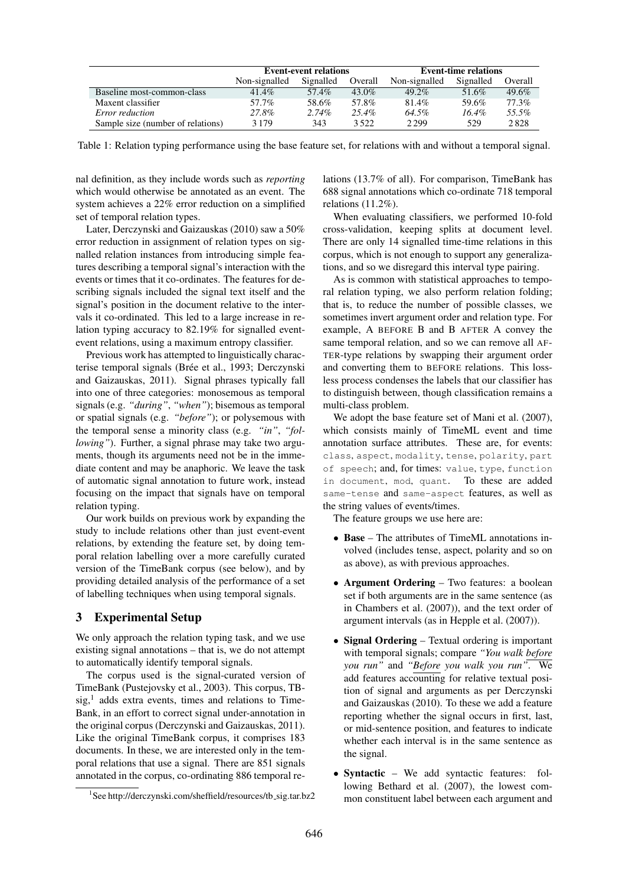|                                   | <b>Event-event relations</b> |           |          | <b>Event-time relations</b> |           |          |
|-----------------------------------|------------------------------|-----------|----------|-----------------------------|-----------|----------|
|                                   | Non-signalled                | Signalled | Overall  | Non-signalled               | Signalled | Overall  |
| Baseline most-common-class        | 41.4%                        | 57.4%     | $43.0\%$ | $49.2\%$                    | 51.6%     | $49.6\%$ |
| Maxent classifier                 | 57.7%                        | 58.6%     | 57.8%    | $81.4\%$                    | 59.6%     | 77.3%    |
| <i>Error reduction</i>            | 27.8%                        | $2.74\%$  | $25.4\%$ | 64.5%                       | $16.4\%$  | 55.5%    |
| Sample size (number of relations) | 3 1 7 9                      | 343       | 3.522    | 2 2 9 9                     | 529       | 2828     |

Table 1: Relation typing performance using the base feature set, for relations with and without a temporal signal.

nal definition, as they include words such as *reporting* which would otherwise be annotated as an event. The system achieves a 22% error reduction on a simplified set of temporal relation types.

Later, Derczynski and Gaizauskas (2010) saw a 50% error reduction in assignment of relation types on signalled relation instances from introducing simple features describing a temporal signal's interaction with the events or times that it co-ordinates. The features for describing signals included the signal text itself and the signal's position in the document relative to the intervals it co-ordinated. This led to a large increase in relation typing accuracy to 82.19% for signalled eventevent relations, using a maximum entropy classifier.

Previous work has attempted to linguistically characterise temporal signals (Brée et al., 1993; Derczynski and Gaizauskas, 2011). Signal phrases typically fall into one of three categories: monosemous as temporal signals (e.g. *"during"*, *"when"*); bisemous as temporal or spatial signals (e.g. *"before"*); or polysemous with the temporal sense a minority class (e.g. *"in"*, *"following"*). Further, a signal phrase may take two arguments, though its arguments need not be in the immediate content and may be anaphoric. We leave the task of automatic signal annotation to future work, instead focusing on the impact that signals have on temporal relation typing.

Our work builds on previous work by expanding the study to include relations other than just event-event relations, by extending the feature set, by doing temporal relation labelling over a more carefully curated version of the TimeBank corpus (see below), and by providing detailed analysis of the performance of a set of labelling techniques when using temporal signals.

## 3 Experimental Setup

We only approach the relation typing task, and we use existing signal annotations – that is, we do not attempt to automatically identify temporal signals.

The corpus used is the signal-curated version of TimeBank (Pustejovsky et al., 2003). This corpus, TB $sig<sub>1</sub><sup>1</sup>$  adds extra events, times and relations to Time-Bank, in an effort to correct signal under-annotation in the original corpus (Derczynski and Gaizauskas, 2011). Like the original TimeBank corpus, it comprises 183 documents. In these, we are interested only in the temporal relations that use a signal. There are 851 signals annotated in the corpus, co-ordinating 886 temporal relations (13.7% of all). For comparison, TimeBank has 688 signal annotations which co-ordinate 718 temporal relations (11.2%).

When evaluating classifiers, we performed 10-fold cross-validation, keeping splits at document level. There are only 14 signalled time-time relations in this corpus, which is not enough to support any generalizations, and so we disregard this interval type pairing.

As is common with statistical approaches to temporal relation typing, we also perform relation folding; that is, to reduce the number of possible classes, we sometimes invert argument order and relation type. For example, A BEFORE B and B AFTER A convey the same temporal relation, and so we can remove all AF-TER-type relations by swapping their argument order and converting them to BEFORE relations. This lossless process condenses the labels that our classifier has to distinguish between, though classification remains a multi-class problem.

We adopt the base feature set of Mani et al. (2007), which consists mainly of TimeML event and time annotation surface attributes. These are, for events: class, aspect, modality, tense, polarity, part of speech; and, for times: value, type, function in document, mod, quant. To these are added same-tense and same-aspect features, as well as the string values of events/times.

The feature groups we use here are:

- Base The attributes of TimeML annotations involved (includes tense, aspect, polarity and so on as above), as with previous approaches.
- Argument Ordering Two features: a boolean set if both arguments are in the same sentence (as in Chambers et al. (2007)), and the text order of argument intervals (as in Hepple et al. (2007)).
- Signal Ordering Textual ordering is important with temporal signals; compare *"You walk before you run"* and *"Before you walk you run"*. We add features accounting for relative textual position of signal and arguments as per Derczynski and Gaizauskas (2010). To these we add a feature reporting whether the signal occurs in first, last, or mid-sentence position, and features to indicate whether each interval is in the same sentence as the signal.
- Syntactic We add syntactic features: following Bethard et al. (2007), the lowest common constituent label between each argument and

<sup>&</sup>lt;sup>1</sup>See http://derczynski.com/sheffield/resources/tb\_sig.tar.bz2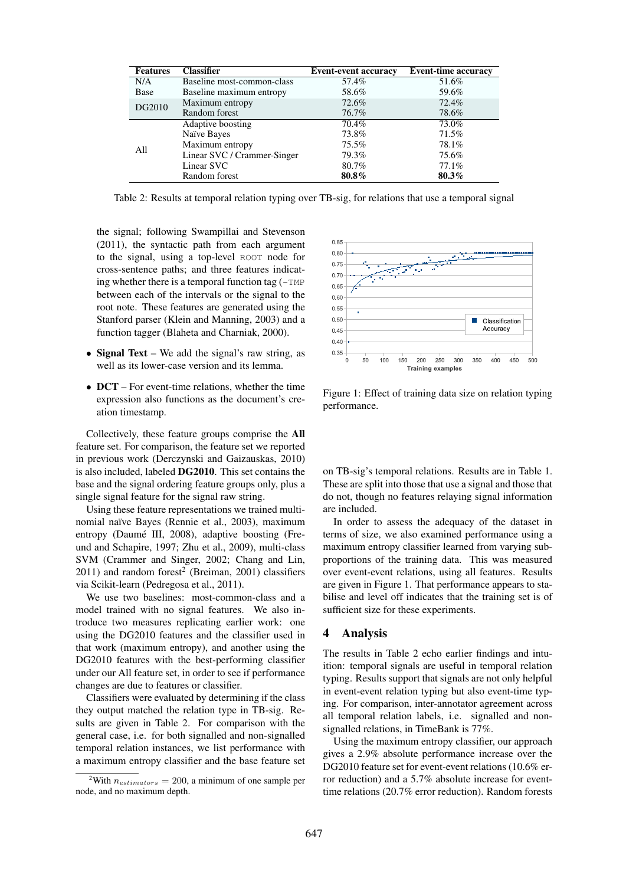| <b>Features</b> | <b>Classifier</b>           | <b>Event-event accuracy</b> | <b>Event-time accuracy</b> |
|-----------------|-----------------------------|-----------------------------|----------------------------|
| N/A             | Baseline most-common-class  | 57.4%                       | 51.6%                      |
| Base            | Baseline maximum entropy    | 58.6%                       | 59.6%                      |
| DG2010          | Maximum entropy             | 72.6%                       | 72.4%                      |
|                 | Random forest               | 76.7%                       | 78.6%                      |
| All             | Adaptive boosting           | 70.4%                       | 73.0%                      |
|                 | Naïve Bayes                 | 73.8%                       | 71.5%                      |
|                 | Maximum entropy             | 75.5%                       | 78.1%                      |
|                 | Linear SVC / Crammer-Singer | 79.3%                       | 75.6%                      |
|                 | Linear SVC                  | 80.7%                       | 77.1%                      |
|                 | Random forest               | 80.8%                       | 80.3%                      |

Table 2: Results at temporal relation typing over TB-sig, for relations that use a temporal signal

the signal; following Swampillai and Stevenson (2011), the syntactic path from each argument to the signal, using a top-level ROOT node for cross-sentence paths; and three features indicating whether there is a temporal function tag  $(-TMP)$ between each of the intervals or the signal to the root note. These features are generated using the Stanford parser (Klein and Manning, 2003) and a function tagger (Blaheta and Charniak, 2000).

- Signal Text We add the signal's raw string, as well as its lower-case version and its lemma.
- **DCT** For event-time relations, whether the time expression also functions as the document's creation timestamp.

Collectively, these feature groups comprise the All feature set. For comparison, the feature set we reported in previous work (Derczynski and Gaizauskas, 2010) is also included, labeled DG2010. This set contains the base and the signal ordering feature groups only, plus a single signal feature for the signal raw string.

Using these feature representations we trained multinomial naïve Bayes (Rennie et al., 2003), maximum entropy (Daumé III, 2008), adaptive boosting (Freund and Schapire, 1997; Zhu et al., 2009), multi-class SVM (Crammer and Singer, 2002; Chang and Lin,  $2011$ ) and random forest<sup>2</sup> (Breiman, 2001) classifiers via Scikit-learn (Pedregosa et al., 2011).

We use two baselines: most-common-class and a model trained with no signal features. We also introduce two measures replicating earlier work: one using the DG2010 features and the classifier used in that work (maximum entropy), and another using the DG2010 features with the best-performing classifier under our All feature set, in order to see if performance changes are due to features or classifier.

Classifiers were evaluated by determining if the class they output matched the relation type in TB-sig. Results are given in Table 2. For comparison with the general case, i.e. for both signalled and non-signalled temporal relation instances, we list performance with a maximum entropy classifier and the base feature set





Figure 1: Effect of training data size on relation typing performance.

on TB-sig's temporal relations. Results are in Table 1. These are split into those that use a signal and those that do not, though no features relaying signal information are included.

In order to assess the adequacy of the dataset in terms of size, we also examined performance using a maximum entropy classifier learned from varying subproportions of the training data. This was measured over event-event relations, using all features. Results are given in Figure 1. That performance appears to stabilise and level off indicates that the training set is of sufficient size for these experiments.

## 4 Analysis

The results in Table 2 echo earlier findings and intuition: temporal signals are useful in temporal relation typing. Results support that signals are not only helpful in event-event relation typing but also event-time typing. For comparison, inter-annotator agreement across all temporal relation labels, i.e. signalled and nonsignalled relations, in TimeBank is 77%.

Using the maximum entropy classifier, our approach gives a 2.9% absolute performance increase over the DG2010 feature set for event-event relations (10.6% error reduction) and a 5.7% absolute increase for eventtime relations (20.7% error reduction). Random forests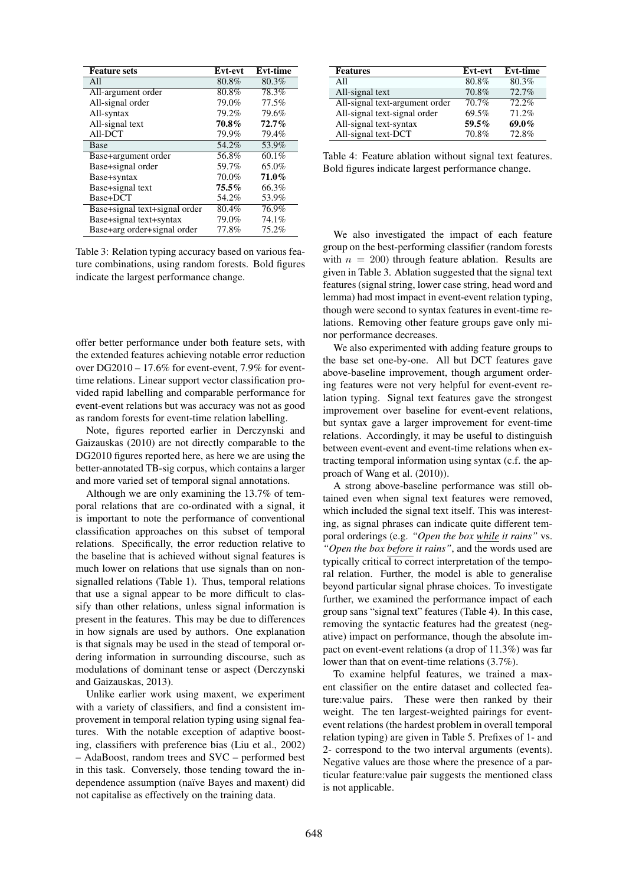| <b>Feature</b> sets           | <b>Evt-evt</b> | <b>Evt-time</b> |
|-------------------------------|----------------|-----------------|
| All                           | 80.8%          | 80.3%           |
| All-argument order            | 80.8%          | 78.3%           |
| All-signal order              | 79.0%          | 77.5%           |
| All-syntax                    | 79.2%          | 79.6%           |
| All-signal text               | 70.8%          | 72.7%           |
| All-DCT                       | 79.9%          | 79.4%           |
| <b>Base</b>                   | 54.2%          | 53.9%           |
| Base+argument order           | 56.8%          | 60.1%           |
| Base+signal order             | 59.7%          | 65.0%           |
| Base+syntax                   | 70.0%          | 71.0%           |
| Base+signal text              | $75.5\%$       | 66.3%           |
| Base+DCT                      | 54.2%          | 53.9%           |
| Base+signal text+signal order | 80.4%          | 76.9%           |
| Base+signal text+syntax       | 79.0%          | 74.1%           |
| Base+arg order+signal order   | 77.8%          | 75.2%           |

Table 3: Relation typing accuracy based on various feature combinations, using random forests. Bold figures indicate the largest performance change.

offer better performance under both feature sets, with the extended features achieving notable error reduction over DG2010 – 17.6% for event-event, 7.9% for eventtime relations. Linear support vector classification provided rapid labelling and comparable performance for event-event relations but was accuracy was not as good as random forests for event-time relation labelling.

Note, figures reported earlier in Derczynski and Gaizauskas (2010) are not directly comparable to the DG2010 figures reported here, as here we are using the better-annotated TB-sig corpus, which contains a larger and more varied set of temporal signal annotations.

Although we are only examining the 13.7% of temporal relations that are co-ordinated with a signal, it is important to note the performance of conventional classification approaches on this subset of temporal relations. Specifically, the error reduction relative to the baseline that is achieved without signal features is much lower on relations that use signals than on nonsignalled relations (Table 1). Thus, temporal relations that use a signal appear to be more difficult to classify than other relations, unless signal information is present in the features. This may be due to differences in how signals are used by authors. One explanation is that signals may be used in the stead of temporal ordering information in surrounding discourse, such as modulations of dominant tense or aspect (Derczynski and Gaizauskas, 2013).

Unlike earlier work using maxent, we experiment with a variety of classifiers, and find a consistent improvement in temporal relation typing using signal features. With the notable exception of adaptive boosting, classifiers with preference bias (Liu et al., 2002) – AdaBoost, random trees and SVC – performed best in this task. Conversely, those tending toward the independence assumption (naïve Bayes and maxent) did not capitalise as effectively on the training data.

| <b>Features</b>                | Evt-evt | <b>Evt-time</b> |
|--------------------------------|---------|-----------------|
| All                            | 80.8%   | 80.3%           |
| All-signal text                | 70.8%   | 72.7%           |
| All-signal text-argument order | 70.7%   | 72.2%           |
| All-signal text-signal order   | 69.5%   | 71.2%           |
| All-signal text-syntax         | 59.5%   | 69.0%           |
| All-signal text-DCT            | 70.8%   | 72.8%           |

Table 4: Feature ablation without signal text features. Bold figures indicate largest performance change.

We also investigated the impact of each feature group on the best-performing classifier (random forests with  $n = 200$ ) through feature ablation. Results are given in Table 3. Ablation suggested that the signal text features (signal string, lower case string, head word and lemma) had most impact in event-event relation typing, though were second to syntax features in event-time relations. Removing other feature groups gave only minor performance decreases.

We also experimented with adding feature groups to the base set one-by-one. All but DCT features gave above-baseline improvement, though argument ordering features were not very helpful for event-event relation typing. Signal text features gave the strongest improvement over baseline for event-event relations, but syntax gave a larger improvement for event-time relations. Accordingly, it may be useful to distinguish between event-event and event-time relations when extracting temporal information using syntax (c.f. the approach of Wang et al. (2010)).

A strong above-baseline performance was still obtained even when signal text features were removed, which included the signal text itself. This was interesting, as signal phrases can indicate quite different temporal orderings (e.g. *"Open the box while it rains"* vs. *"Open the box before it rains"*, and the words used are typically critical to correct interpretation of the temporal relation. Further, the model is able to generalise beyond particular signal phrase choices. To investigate further, we examined the performance impact of each group sans "signal text" features (Table 4). In this case, removing the syntactic features had the greatest (negative) impact on performance, though the absolute impact on event-event relations (a drop of 11.3%) was far lower than that on event-time relations (3.7%).

To examine helpful features, we trained a maxent classifier on the entire dataset and collected feature:value pairs. These were then ranked by their weight. The ten largest-weighted pairings for eventevent relations (the hardest problem in overall temporal relation typing) are given in Table 5. Prefixes of 1- and 2- correspond to the two interval arguments (events). Negative values are those where the presence of a particular feature:value pair suggests the mentioned class is not applicable.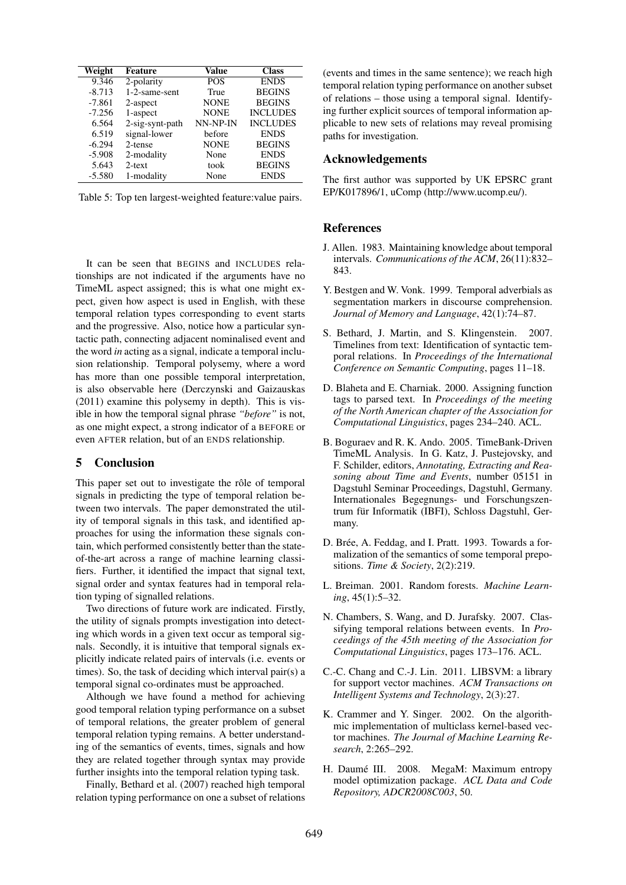| Weight   | Feature         | Value       | <b>Class</b>    |
|----------|-----------------|-------------|-----------------|
| 9.346    | 2-polarity      | <b>POS</b>  | <b>ENDS</b>     |
| $-8.713$ | 1-2-same-sent   | True        | <b>BEGINS</b>   |
| $-7.861$ | 2-aspect        | <b>NONE</b> | <b>BEGINS</b>   |
| $-7.256$ | 1-aspect        | <b>NONE</b> | <b>INCLUDES</b> |
| 6.564    | 2-sig-synt-path | NN-NP-IN    | <b>INCLUDES</b> |
| 6.519    | signal-lower    | before      | <b>ENDS</b>     |
| $-6.294$ | 2-tense         | <b>NONE</b> | <b>BEGINS</b>   |
| $-5.908$ | 2-modality      | None        | <b>ENDS</b>     |
| 5.643    | $2$ -text       | took        | <b>BEGINS</b>   |
| $-5.580$ | 1-modality      | None        | <b>ENDS</b>     |

Table 5: Top ten largest-weighted feature:value pairs.

It can be seen that BEGINS and INCLUDES relationships are not indicated if the arguments have no TimeML aspect assigned; this is what one might expect, given how aspect is used in English, with these temporal relation types corresponding to event starts and the progressive. Also, notice how a particular syntactic path, connecting adjacent nominalised event and the word *in* acting as a signal, indicate a temporal inclusion relationship. Temporal polysemy, where a word has more than one possible temporal interpretation, is also observable here (Derczynski and Gaizauskas (2011) examine this polysemy in depth). This is visible in how the temporal signal phrase *"before"* is not, as one might expect, a strong indicator of a BEFORE or even AFTER relation, but of an ENDS relationship.

#### 5 Conclusion

This paper set out to investigate the rôle of temporal signals in predicting the type of temporal relation between two intervals. The paper demonstrated the utility of temporal signals in this task, and identified approaches for using the information these signals contain, which performed consistently better than the stateof-the-art across a range of machine learning classifiers. Further, it identified the impact that signal text, signal order and syntax features had in temporal relation typing of signalled relations.

Two directions of future work are indicated. Firstly, the utility of signals prompts investigation into detecting which words in a given text occur as temporal signals. Secondly, it is intuitive that temporal signals explicitly indicate related pairs of intervals (i.e. events or times). So, the task of deciding which interval pair(s) a temporal signal co-ordinates must be approached.

Although we have found a method for achieving good temporal relation typing performance on a subset of temporal relations, the greater problem of general temporal relation typing remains. A better understanding of the semantics of events, times, signals and how they are related together through syntax may provide further insights into the temporal relation typing task.

Finally, Bethard et al. (2007) reached high temporal relation typing performance on one a subset of relations (events and times in the same sentence); we reach high temporal relation typing performance on another subset of relations – those using a temporal signal. Identifying further explicit sources of temporal information applicable to new sets of relations may reveal promising paths for investigation.

## Acknowledgements

The first author was supported by UK EPSRC grant EP/K017896/1, uComp (http://www.ucomp.eu/).

## References

- J. Allen. 1983. Maintaining knowledge about temporal intervals. *Communications of the ACM*, 26(11):832– 843.
- Y. Bestgen and W. Vonk. 1999. Temporal adverbials as segmentation markers in discourse comprehension. *Journal of Memory and Language*, 42(1):74–87.
- S. Bethard, J. Martin, and S. Klingenstein. 2007. Timelines from text: Identification of syntactic temporal relations. In *Proceedings of the International Conference on Semantic Computing*, pages 11–18.
- D. Blaheta and E. Charniak. 2000. Assigning function tags to parsed text. In *Proceedings of the meeting of the North American chapter of the Association for Computational Linguistics*, pages 234–240. ACL.
- B. Boguraev and R. K. Ando. 2005. TimeBank-Driven TimeML Analysis. In G. Katz, J. Pustejovsky, and F. Schilder, editors, *Annotating, Extracting and Reasoning about Time and Events*, number 05151 in Dagstuhl Seminar Proceedings, Dagstuhl, Germany. Internationales Begegnungs- und Forschungszentrum für Informatik (IBFI), Schloss Dagstuhl, Germany.
- D. Brée, A. Feddag, and I. Pratt. 1993. Towards a formalization of the semantics of some temporal prepositions. *Time & Society*, 2(2):219.
- L. Breiman. 2001. Random forests. *Machine Learning*, 45(1):5–32.
- N. Chambers, S. Wang, and D. Jurafsky. 2007. Classifying temporal relations between events. In *Proceedings of the 45th meeting of the Association for Computational Linguistics*, pages 173–176. ACL.
- C.-C. Chang and C.-J. Lin. 2011. LIBSVM: a library for support vector machines. *ACM Transactions on Intelligent Systems and Technology*, 2(3):27.
- K. Crammer and Y. Singer. 2002. On the algorithmic implementation of multiclass kernel-based vector machines. *The Journal of Machine Learning Research*, 2:265–292.
- H. Daumé III. 2008. MegaM: Maximum entropy model optimization package. *ACL Data and Code Repository, ADCR2008C003*, 50.